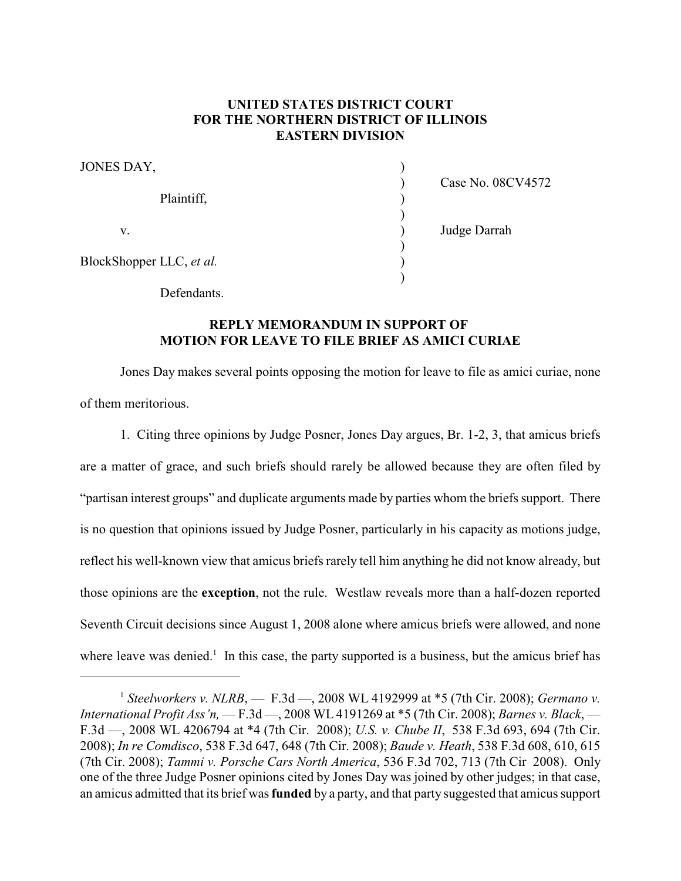## **UNITED STATES DISTRICT COURT FOR THE NORTHERN DISTRICT OF ILLINOIS EASTERN DIVISION**

| JONES DAY,               |                   |
|--------------------------|-------------------|
| Plaintiff,               | Case No. 08CV4572 |
| V.                       | Judge Darrah      |
| BlockShopper LLC, et al. |                   |
|                          |                   |

Defendants.

## **REPLY MEMORANDUM IN SUPPORT OF MOTION FOR LEAVE TO FILE BRIEF AS AMICI CURIAE**

Jones Day makes several points opposing the motion for leave to file as amici curiae, none of them meritorious.

1. Citing three opinions by Judge Posner, Jones Day argues, Br. 1-2, 3, that amicus briefs are a matter of grace, and such briefs should rarely be allowed because they are often filed by "partisan interest groups" and duplicate arguments made by parties whom the briefs support. There is no question that opinions issued by Judge Posner, particularly in his capacity as motions judge, reflect his well-known view that amicus briefs rarely tell him anything he did not know already, but those opinions are the **exception**, not the rule. Westlaw reveals more than a half-dozen reported Seventh Circuit decisions since August 1, 2008 alone where amicus briefs were allowed, and none where leave was denied.<sup>1</sup> In this case, the party supported is a business, but the amicus brief has

<sup>&</sup>lt;sup>1</sup> Steelworkers v. NLRB, — F.3d —, 2008 WL 4192999 at \*5 (7th Cir. 2008); *Germano v. International Profit Ass'n,* — F.3d —, 2008 WL 4191269 at \*5 (7th Cir. 2008); *Barnes v. Black*, — F.3d —, 2008 WL 4206794 at \*4 (7th Cir. 2008); *U.S. v. Chube II*, 538 F.3d 693, 694 (7th Cir. 2008); *In re Comdisco*, 538 F.3d 647, 648 (7th Cir. 2008); *Baude v. Heath*, 538 F.3d 608, 610, 615 (7th Cir. 2008); *Tammi v. Porsche Cars North America*, 536 F.3d 702, 713 (7th Cir 2008). Only one of the three Judge Posner opinions cited by Jones Day was joined by other judges; in that case, an amicus admitted that its brief was **funded** by a party, and that party suggested that amicus support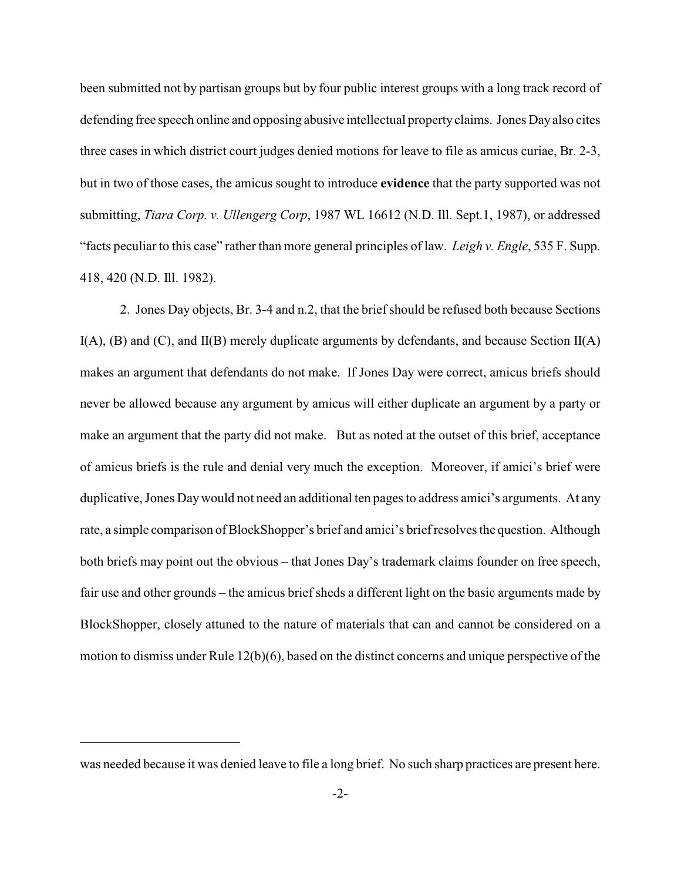been submitted not by partisan groups but by four public interest groups with a long track record of defending free speech online and opposing abusive intellectual propertyclaims. Jones Day also cites three cases in which district court judges denied motions for leave to file as amicus curiae, Br. 2-3, but in two of those cases, the amicus sought to introduce **evidence** that the party supported was not submitting, *Tiara Corp. v. Ullengerg Corp*, 1987 WL 16612 (N.D. Ill. Sept.1, 1987), or addressed "facts peculiar to this case" rather than more general principles of law. *Leigh v. Engle*, 535 F. Supp. 418, 420 (N.D. Ill. 1982).

2. Jones Day objects, Br. 3-4 and n.2, that the brief should be refused both because Sections  $I(A)$ , (B) and (C), and  $I(B)$  merely duplicate arguments by defendants, and because Section  $I(A)$ makes an argument that defendants do not make. If Jones Day were correct, amicus briefs should never be allowed because any argument by amicus will either duplicate an argument by a party or make an argument that the party did not make. But as noted at the outset of this brief, acceptance of amicus briefs is the rule and denial very much the exception. Moreover, if amici's brief were duplicative, Jones Daywould not need an additional ten pages to address amici's arguments. At any rate, a simple comparison of BlockShopper's brief and amici's briefresolves the question. Although both briefs may point out the obvious – that Jones Day's trademark claims founder on free speech, fair use and other grounds – the amicus brief sheds a different light on the basic arguments made by BlockShopper, closely attuned to the nature of materials that can and cannot be considered on a motion to dismiss under Rule 12(b)(6), based on the distinct concerns and unique perspective of the

was needed because it was denied leave to file a long brief. No such sharp practices are present here.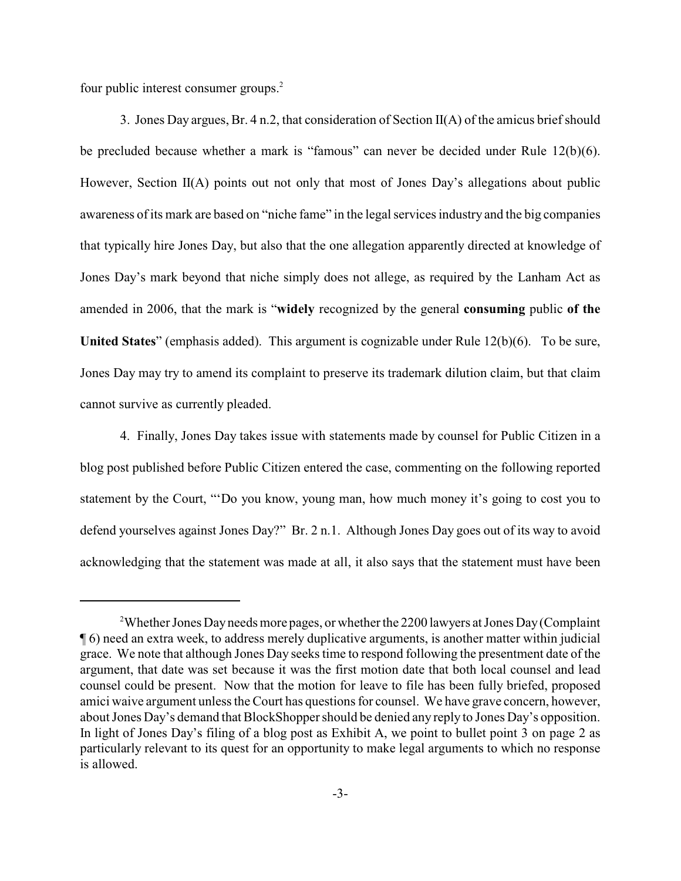four public interest consumer groups.<sup>2</sup>

3. Jones Day argues, Br. 4 n.2, that consideration of Section II(A) of the amicus brief should be precluded because whether a mark is "famous" can never be decided under Rule 12(b)(6). However, Section II(A) points out not only that most of Jones Day's allegations about public awareness of its mark are based on "niche fame" in the legal services industry and the big companies that typically hire Jones Day, but also that the one allegation apparently directed at knowledge of Jones Day's mark beyond that niche simply does not allege, as required by the Lanham Act as amended in 2006, that the mark is "**widely** recognized by the general **consuming** public **of the United States**" (emphasis added). This argument is cognizable under Rule 12(b)(6). To be sure, Jones Day may try to amend its complaint to preserve its trademark dilution claim, but that claim cannot survive as currently pleaded.

4. Finally, Jones Day takes issue with statements made by counsel for Public Citizen in a blog post published before Public Citizen entered the case, commenting on the following reported statement by the Court, "'Do you know, young man, how much money it's going to cost you to defend yourselves against Jones Day?" Br. 2 n.1. Although Jones Day goes out of its way to avoid acknowledging that the statement was made at all, it also says that the statement must have been

<sup>&</sup>lt;sup>2</sup>Whether Jones Day needs more pages, or whether the 2200 lawyers at Jones Day (Complaint ¶ 6) need an extra week, to address merely duplicative arguments, is another matter within judicial grace. We note that although Jones Day seeks time to respond following the presentment date of the argument, that date was set because it was the first motion date that both local counsel and lead counsel could be present. Now that the motion for leave to file has been fully briefed, proposed amici waive argument unless the Court has questions for counsel. We have grave concern, however, about Jones Day's demand that BlockShopper should be denied any reply to Jones Day's opposition. In light of Jones Day's filing of a blog post as Exhibit A, we point to bullet point 3 on page 2 as particularly relevant to its quest for an opportunity to make legal arguments to which no response is allowed.